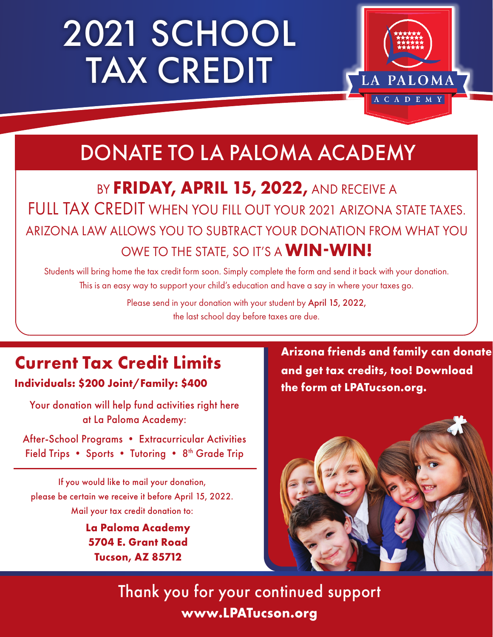# 2021 SCHOOL TAX CREDIT



### DONATE TO LA PALOMA ACADEMY

BY FRIDAY, APRIL 15, 2022, AND RECEIVE A FULL TAX CREDIT WHEN YOU FILL OUT YOUR 2021 ARIZONA STATE TAXES. ARIZONA LAW ALLOWS YOU TO SUBTRACT YOUR DONATION FROM WHAT YOU OWE TO THE STATE, SO IT'S A **WIN-WIN!**

Students will bring home the tax credit form soon. Simply complete the form and send it back with your donation. This is an easy way to support your child's education and have a say in where your taxes go.

> Please send in your donation with your student by April 15, 2022, the last school day before taxes are due.

### **Current Tax Credit Limits**

**Individuals: \$200 Joint/Family: \$400**

Your donation will help fund activities right here at La Paloma Academy:

After-School Programs • Extracurricular Activities Field Trips • Sports • Tutoring • 8<sup>th</sup> Grade Trip

If you would like to mail your donation, please be certain we receive it before April 15, 2022. Mail your tax credit donation to:

> **La Paloma Academy 5704 E. Grant Road Tucson, AZ 85712**

**Arizona friends and family can donate and get tax credits, too! Download the form at LPATucson.org.**



Thank you for your continued support **www.LPATucson.org**